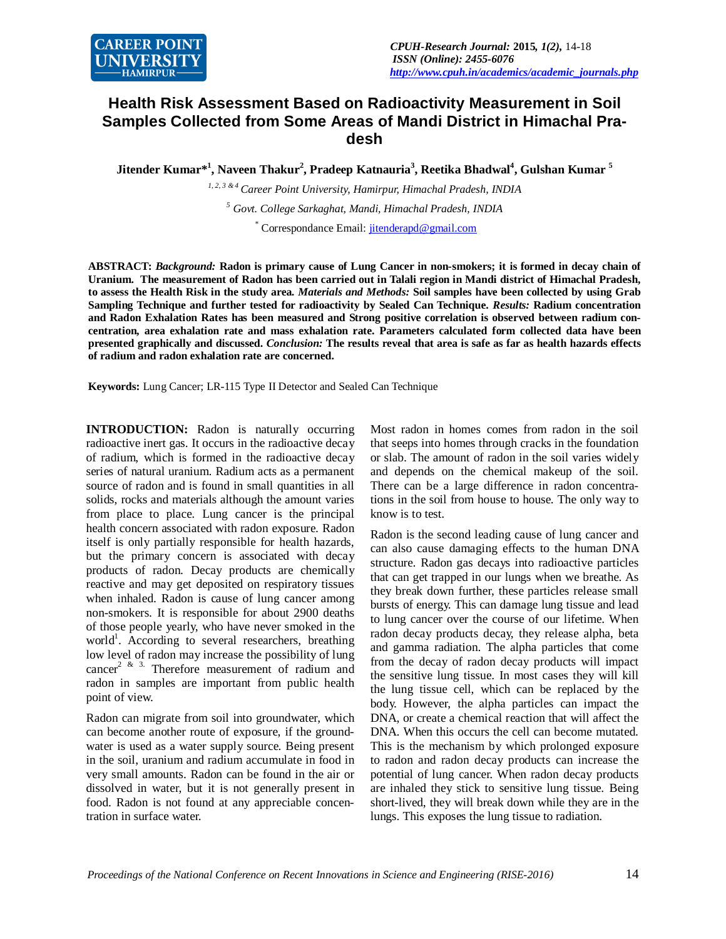

## **Health Risk Assessment Based on Radioactivity Measurement in Soil Samples Collected from Some Areas of Mandi District in Himachal Pradesh**

**Jitender Kumar\*<sup>1</sup> , Naveen Thakur<sup>2</sup> , Pradeep Katnauria<sup>3</sup> , Reetika Bhadwal<sup>4</sup> , Gulshan Kumar <sup>5</sup>**

*1, 2, 3 & 4 Career Point University, Hamirpur, Himachal Pradesh, INDIA <sup>5</sup> Govt. College Sarkaghat, Mandi, Himachal Pradesh, INDIA* \* Correspondance Email: jitenderapd@gmail.com

**ABSTRACT:** *Background:* **Radon is primary cause of Lung Cancer in non-smokers; it is formed in decay chain of Uranium. The measurement of Radon has been carried out in Talali region in Mandi district of Himachal Pradesh, to assess the Health Risk in the study area.** *Materials and Methods:* **Soil samples have been collected by using Grab Sampling Technique and further tested for radioactivity by Sealed Can Technique.** *Results:* **Radium concentration and Radon Exhalation Rates has been measured and Strong positive correlation is observed between radium concentration, area exhalation rate and mass exhalation rate. Parameters calculated form collected data have been presented graphically and discussed.** *Conclusion:* **The results reveal that area is safe as far as health hazards effects of radium and radon exhalation rate are concerned.**

**Keywords:** Lung Cancer; LR-115 Type II Detector and Sealed Can Technique

**INTRODUCTION:** Radon is naturally occurring radioactive inert gas. It occurs in the radioactive decay of radium, which is formed in the radioactive decay series of natural uranium. Radium acts as a permanent source of radon and is found in small quantities in all solids, rocks and materials although the amount varies from place to place. Lung cancer is the principal health concern associated with radon exposure. Radon itself is only partially responsible for health hazards, but the primary concern is associated with decay products of radon. Decay products are chemically reactive and may get deposited on respiratory tissues when inhaled. Radon is cause of lung cancer among non-smokers. It is responsible for about 2900 deaths of those people yearly, who have never smoked in the world<sup>1</sup>. According to several researchers, breathing low level of radon may increase the possibility of lung cancer<sup>2 & 3.</sup> Therefore measurement of radium and radon in samples are important from public health point of view.

Radon can migrate from soil into groundwater, which can become another route of exposure, if the groundwater is used as a water supply source. Being present in the soil, uranium and radium accumulate in food in very small amounts. Radon can be found in the air or dissolved in water, but it is not generally present in food. Radon is not found at any appreciable concentration in surface water.

Most radon in homes comes from radon in the soil that seeps into homes through cracks in the foundation or slab. The amount of radon in the soil varies widely and depends on the chemical makeup of the soil. There can be a large difference in radon concentrations in the soil from house to house. The only way to know is to test.

Radon is the second leading cause of lung cancer and can also cause damaging effects to the human DNA structure. Radon gas decays into radioactive particles that can get trapped in our lungs when we breathe. As they break down further, these particles release small bursts of energy. This can damage lung tissue and lead to lung cancer over the course of our lifetime. When radon decay products decay, they release alpha, beta and gamma radiation. The alpha particles that come from the decay of radon decay products will impact the sensitive lung tissue. In most cases they will kill the lung tissue cell, which can be replaced by the body. However, the alpha particles can impact the DNA, or create a chemical reaction that will affect the DNA. When this occurs the cell can become mutated. This is the mechanism by which prolonged exposure to radon and radon decay products can increase the potential of lung cancer. When radon decay products are inhaled they stick to sensitive lung tissue. Being short-lived, they will break down while they are in the lungs. This exposes the lung tissue to radiation.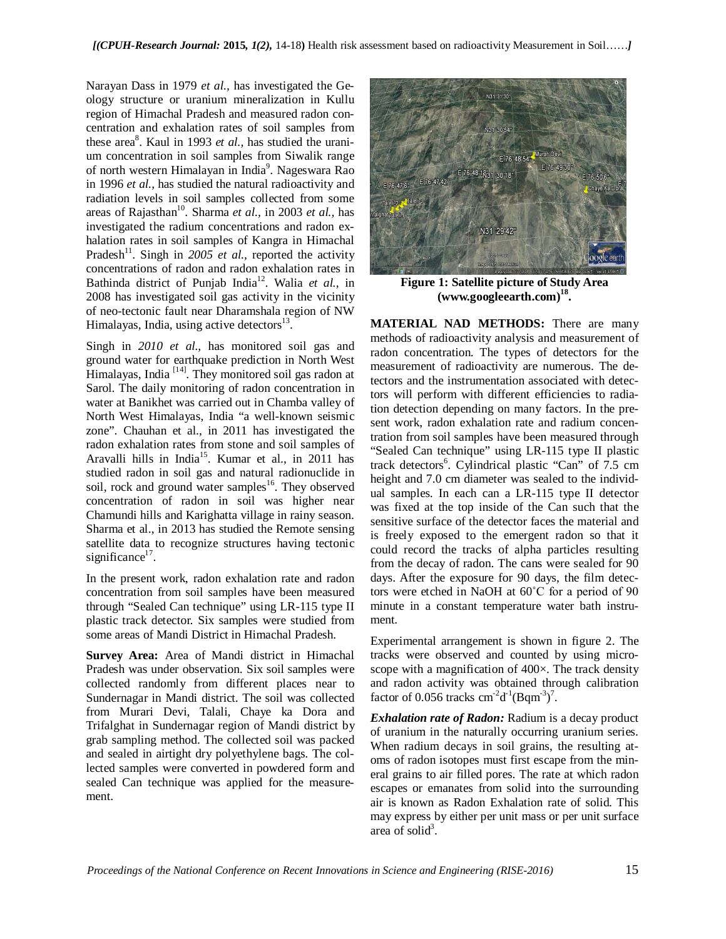Narayan Dass in 1979 *et al.,* has investigated the Geology structure or uranium mineralization in Kullu region of Himachal Pradesh and measured radon concentration and exhalation rates of soil samples from these area<sup>8</sup>. Kaul in 1993 *et al.*, has studied the uranium concentration in soil samples from Siwalik range of north western Himalayan in India<sup>9</sup>. Nageswara Rao in 1996 *et al.,* has studied the natural radioactivity and radiation levels in soil samples collected from some areas of Rajasthan<sup>10</sup>. Sharma *et al.,* in 2003 *et al.,* has investigated the radium concentrations and radon exhalation rates in soil samples of Kangra in Himachal Pradesh<sup>11</sup>. Singh in 2005 et al., reported the activity concentrations of radon and radon exhalation rates in Bathinda district of Punjab India<sup>12</sup>. Walia *et al.,* in 2008 has investigated soil gas activity in the vicinity of neo-tectonic fault near Dharamshala region of NW Himalayas, India, using active detectors<sup>13</sup>.

Singh in *2010 et al.,* has monitored soil gas and ground water for earthquake prediction in North West Himalayas, India  $[14]$ . They monitored soil gas radon at Sarol. The daily monitoring of radon concentration in water at Banikhet was carried out in Chamba valley of North West Himalayas, India "a well-known seismic zone". Chauhan et al., in 2011 has investigated the radon exhalation rates from stone and soil samples of Aravalli hills in India<sup>15</sup>. Kumar et al., in 2011 has studied radon in soil gas and natural radionuclide in soil, rock and ground water samples<sup>16</sup>. They observed concentration of radon in soil was higher near Chamundi hills and Karighatta village in rainy season. Sharma et al., in 2013 has studied the Remote sensing satellite data to recognize structures having tectonic significance<sup>17</sup>.

In the present work, radon exhalation rate and radon concentration from soil samples have been measured through "Sealed Can technique" using LR-115 type II plastic track detector. Six samples were studied from some areas of Mandi District in Himachal Pradesh.

**Survey Area:** Area of Mandi district in Himachal Pradesh was under observation. Six soil samples were collected randomly from different places near to Sundernagar in Mandi district. The soil was collected from Murari Devi, Talali, Chaye ka Dora and Trifalghat in Sundernagar region of Mandi district by grab sampling method. The collected soil was packed and sealed in airtight dry polyethylene bags. The collected samples were converted in powdered form and sealed Can technique was applied for the measurement.



**Figure 1: Satellite picture of Study Area (www.googleearth.com)<sup>18</sup> .**

**MATERIAL NAD METHODS:** There are many methods of radioactivity analysis and measurement of radon concentration. The types of detectors for the measurement of radioactivity are numerous. The detectors and the instrumentation associated with detectors will perform with different efficiencies to radiation detection depending on many factors. In the present work, radon exhalation rate and radium concentration from soil samples have been measured through "Sealed Can technique" using LR-115 type II plastic track detectors<sup>6</sup>. Cylindrical plastic "Can" of 7.5 cm height and 7.0 cm diameter was sealed to the individual samples. In each can a LR-115 type II detector was fixed at the top inside of the Can such that the sensitive surface of the detector faces the material and is freely exposed to the emergent radon so that it could record the tracks of alpha particles resulting from the decay of radon. The cans were sealed for 90 days. After the exposure for 90 days, the film detectors were etched in NaOH at 60˚C for a period of 90 minute in a constant temperature water bath instrument.

Experimental arrangement is shown in figure 2. The tracks were observed and counted by using microscope with a magnification of 400×. The track density and radon activity was obtained through calibration factor of 0.056 tracks  $\text{cm}^2 \text{d}^1(\text{Bqm}^3)$ <sup>7</sup>.

*Exhalation rate of Radon:* Radium is a decay product of uranium in the naturally occurring uranium series. When radium decays in soil grains, the resulting atoms of radon isotopes must first escape from the mineral grains to air filled pores. The rate at which radon escapes or emanates from solid into the surrounding air is known as Radon Exhalation rate of solid. This may express by either per unit mass or per unit surface area of solid $3$ .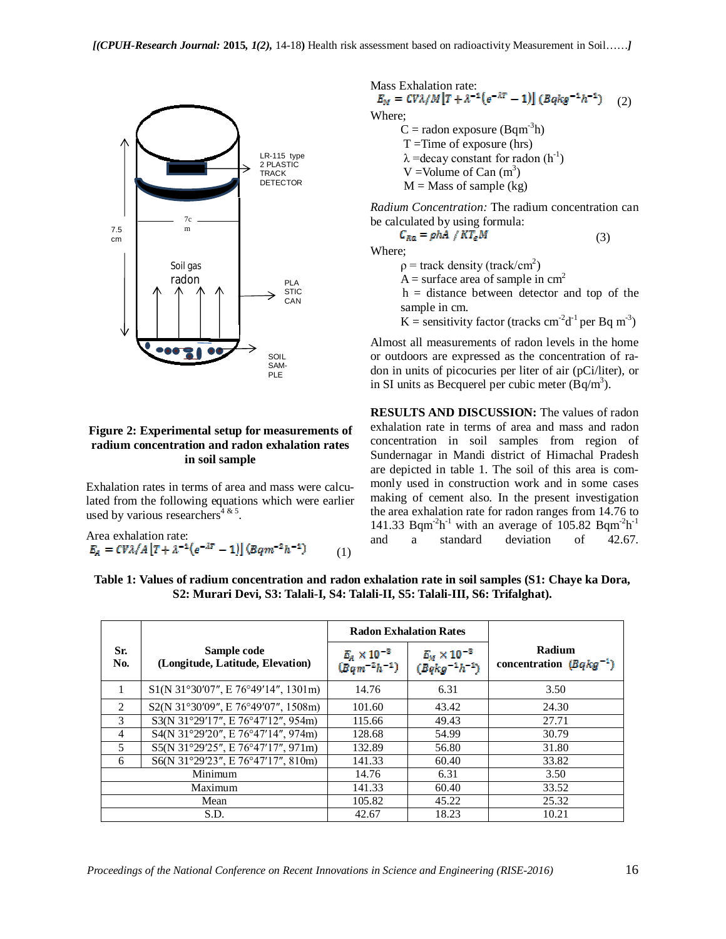

## **Figure 2: Experimental setup for measurements of radium concentration and radon exhalation rates in soil sample**

Exhalation rates in terms of area and mass were calculated from the following equations which were earlier used by various researchers<sup>4 & 5</sup>.

Area evaluation rate:  
\n
$$
E_A = CV\lambda/A[T + \lambda^{-1}(e^{-\lambda T} - 1)](Bqm^{-2}h^{-1})
$$
\n(1)

Mass Exhalation rate:<br> $E_M = CV\lambda/M [T + \lambda^{-1}(e^{-\lambda T} - 1)] (Bqkg^{-1}h^{-1})$ (2)

Where;

 $C =$  radon exposure (Bqm<sup>-3</sup>h)  $T = Time$  of exposure (hrs)  $\lambda$  =decay constant for radon (h<sup>-1</sup>) V = Volume of Can  $(m^3)$  $M =$ Mass of sample (kg)

*Radium Concentration:* The radium concentration can be calculated by using formula:

 $C_{Ra} = \rho h A / KT_e M$  (3) Where;

 $\rho$  = track density (track/cm<sup>2</sup>)

 $A =$  surface area of sample in cm<sup>2</sup>

 $h =$  distance between detector and top of the sample in cm.

K = sensitivity factor (tracks cm<sup>-2</sup>d<sup>-1</sup> per Bq m<sup>-3</sup>)

Almost all measurements of radon levels in the home or outdoors are expressed as the concentration of radon in units of picocuries per liter of air (pCi/liter), or in SI units as Becquerel per cubic meter  $(Bq/m^3)$ .

**RESULTS AND DISCUSSION:** The values of radon exhalation rate in terms of area and mass and radon concentration in soil samples from region of Sundernagar in Mandi district of Himachal Pradesh are depicted in table 1. The soil of this area is commonly used in construction work and in some cases making of cement also. In the present investigation the area exhalation rate for radon ranges from 14.76 to 141.33 Bqm<sup>-2</sup>h<sup>-1</sup> with an average of 105.82 Bqm<sup>-2</sup>h<sup>-1</sup> and a standard deviation of 42.67.

|                |                                                 | <b>Radon Exhalation Rates</b>              |                                             |                                       |
|----------------|-------------------------------------------------|--------------------------------------------|---------------------------------------------|---------------------------------------|
| Sr.<br>No.     | Sample code<br>(Longitude, Latitude, Elevation) | $E_A \times 10^{-3}$<br>$(Bqm^{-2}h^{-1})$ | $E_M \times 10^{-3}$<br>$(Bqkg^{-1}h^{-1})$ | Radium<br>concentration $(Bqkg^{-1})$ |
|                | S1(N 31°30'07", E 76°49'14", 1301m)             | 14.76                                      | 6.31                                        | 3.50                                  |
| $\mathfrak{D}$ | S2(N 31°30'09", E 76°49'07", 1508m)             | 101.60                                     | 43.42                                       | 24.30                                 |
| 3              | S3(N 31°29'17", E 76°47'12", 954m)              | 115.66                                     | 49.43                                       | 27.71                                 |
| 4              | S4(N 31°29'20", E 76°47'14", 974m)              | 128.68                                     | 54.99                                       | 30.79                                 |
| 5              | S5(N 31°29'25", E 76°47'17", 971m)              | 132.89                                     | 56.80                                       | 31.80                                 |
| 6              | S6(N 31°29'23", E 76°47'17", 810m)              | 141.33                                     | 60.40                                       | 33.82                                 |
| Minimum        |                                                 | 14.76                                      | 6.31                                        | 3.50                                  |
| Maximum        |                                                 | 141.33                                     | 60.40                                       | 33.52                                 |
| Mean           |                                                 | 105.82                                     | 45.22                                       | 25.32                                 |
| S.D.           |                                                 | 42.67                                      | 18.23                                       | 10.21                                 |

**Table 1: Values of radium concentration and radon exhalation rate in soil samples (S1: Chaye ka Dora, S2: Murari Devi, S3: Talali-I, S4: Talali-II, S5: Talali-III, S6: Trifalghat).**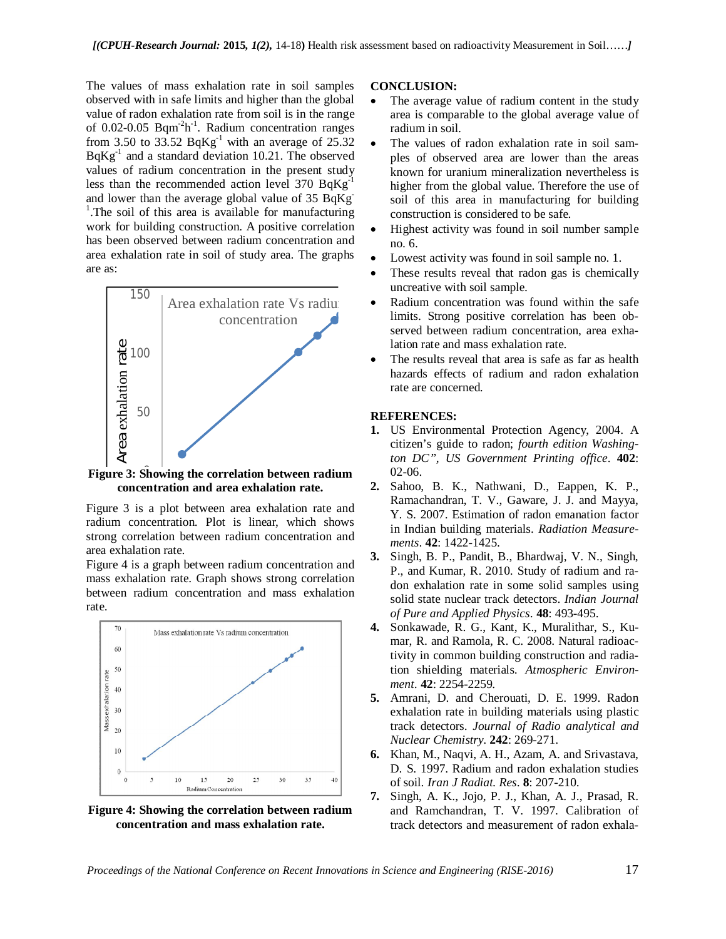The values of mass exhalation rate in soil samples observed with in safe limits and higher than the global value of radon exhalation rate from soil is in the range of 0.02-0.05 Bqm<sup>-2</sup>h<sup>-1</sup>. Radium concentration ranges from 3.50 to 33.52  $BqKg^{-1}$  with an average of 25.32 BqKg<sup>-1</sup> and a standard deviation 10.21. The observed values of radium concentration in the present study less than the recommended action level  $370$  BqKg<sup>-1</sup> and lower than the average global value of 35 BqKg-<sup>1</sup>. The soil of this area is available for manufacturing work for building construction. A positive correlation has been observed between radium concentration and area exhalation rate in soil of study area. The graphs are as:



0 **Figure 3: Showing the correlation between radium concentration and area exhalation rate.**

Figure 3 is a plot between area exhalation rate and radium concentration. Plot is linear, which shows strong correlation between radium concentration and area exhalation rate.

Figure 4 is a graph between radium concentration and mass exhalation rate. Graph shows strong correlation between radium concentration and mass exhalation rate.



**Figure 4: Showing the correlation between radium concentration and mass exhalation rate.**

## **CONCLUSION:**

- The average value of radium content in the study area is comparable to the global average value of radium in soil.
- The values of radon exhalation rate in soil samples of observed area are lower than the areas known for uranium mineralization nevertheless is higher from the global value. Therefore the use of soil of this area in manufacturing for building construction is considered to be safe.
- Highest activity was found in soil number sample no. 6.
- Lowest activity was found in soil sample no. 1.
- These results reveal that radon gas is chemically uncreative with soil sample.
- Radium concentration was found within the safe limits. Strong positive correlation has been observed between radium concentration, area exhalation rate and mass exhalation rate.
- The results reveal that area is safe as far as health hazards effects of radium and radon exhalation rate are concerned.

## **REFERENCES:**

- **1.** US Environmental Protection Agency, 2004. A citizen's guide to radon; *fourth edition Washington DC", US Government Printing office*. **402**: 02-06.
- **2.** Sahoo, B. K., Nathwani, D., Eappen, K. P., Ramachandran, T. V., Gaware, J. J. and Mayya, Y. S. 2007. Estimation of radon emanation factor in Indian building materials. *Radiation Measurements*. **42**: 1422-1425.
- **3.** Singh, B. P., Pandit, B., Bhardwaj, V. N., Singh, P., and Kumar, R. 2010. Study of radium and radon exhalation rate in some solid samples using solid state nuclear track detectors. *Indian Journal of Pure and Applied Physics*. **48**: 493-495.
- **4.** Sonkawade, R. G., Kant, K., Muralithar, S., Kumar, R. and Ramola, R. C. 2008. Natural radioactivity in common building construction and radiation shielding materials. *Atmospheric Environment*. **42**: 2254-2259.
- **5.** Amrani, D. and Cherouati, D. E. 1999. Radon exhalation rate in building materials using plastic track detectors. *Journal of Radio analytical and Nuclear Chemistry*. **242**: 269-271.
- **6.** Khan, M., Naqvi, A. H., Azam, A. and Srivastava, D. S. 1997. Radium and radon exhalation studies of soil. *Iran J Radiat. Res*. **8**: 207-210.
- **7.** Singh, A. K., Jojo, P. J., Khan, A. J., Prasad, R. and Ramchandran, T. V. 1997. Calibration of track detectors and measurement of radon exhala-